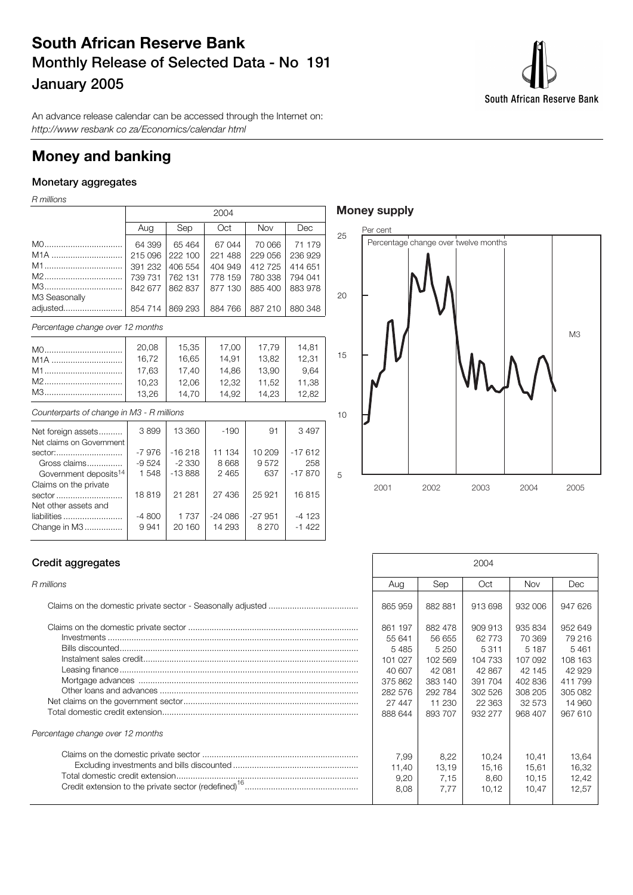### **South African Reserve Bank Monthly Release of Selected Data - No 191 January 2005**

South African Reserve Bank

An advance release calendar can be accessed through the Internet on: http://www resbank co za/Economics/calendar html

### **Money and banking**

### **Monetary aggregates**

R millions

|                     |         | 2004    |         |            |         |  |  |  |  |
|---------------------|---------|---------|---------|------------|---------|--|--|--|--|
|                     | Aug     | Sep     | Oct     | <b>Nov</b> | Dec     |  |  |  |  |
| M0                  | 64 399  | 65 4 64 | 67 044  | 70 066     | 71 179  |  |  |  |  |
| M <sub>1</sub> A    | 215 096 | 222 100 | 221 488 | 229 056    | 236 929 |  |  |  |  |
| M1                  | 391 232 | 406 554 | 404 949 | 412725     | 414 651 |  |  |  |  |
| M2                  | 739 731 | 762 131 | 778 159 | 780 338    | 794 041 |  |  |  |  |
| M3<br>M3 Seasonally | 842 677 | 862 837 | 877 130 | 885 400    | 883 978 |  |  |  |  |
| adjusted            | 854 714 | 869 293 | 884 766 | 887 210    | 880 348 |  |  |  |  |

| Percentage change over 12 months |       |       |       |       |       |  |  |  |  |
|----------------------------------|-------|-------|-------|-------|-------|--|--|--|--|
| M0                               | 20,08 | 15.35 | 17.00 | 17.79 | 14.81 |  |  |  |  |
| M <sub>1</sub> A                 | 16,72 | 16,65 | 14.91 | 13,82 | 12,31 |  |  |  |  |
| M1                               | 17.63 | 17.40 | 14.86 | 13.90 | 9.64  |  |  |  |  |
| M2                               | 10,23 | 12.06 | 12.32 | 11,52 | 11,38 |  |  |  |  |
| M3                               | 13,26 | 14.70 | 14.92 | 14.23 | 12.82 |  |  |  |  |

### Counterparts of change in M3 - R millions

| Net foreign assets                | 3899    | 13 360   | $-190$   | 91       | 3497     |
|-----------------------------------|---------|----------|----------|----------|----------|
| Net claims on Government          |         |          |          |          |          |
| sector:                           | $-7976$ | $-16218$ | 11 134   | 10 209   | $-17612$ |
| Gross claims                      | $-9524$ | $-2330$  | 8 6 6 8  | 9572     | 258      |
| Government deposits <sup>14</sup> | 1548    | $-13888$ | 2465     | 637      | $-17870$ |
| Claims on the private             |         |          |          |          |          |
| sector                            | 18819   | 21 281   | 27 436   | 25 9 21  | 16815    |
| Net other assets and              |         |          |          |          |          |
| liabilities                       | $-4800$ | 1 7 3 7  | $-24086$ | $-27951$ | -4 123   |
| Change in M3                      | 9941    | 20 160   | 14 293   | 8 2 7 0  | $-1422$  |
|                                   |         |          |          |          |          |

### **Money supply**



### **Credit aggregates**

| Percentage change over 12 months |  |
|----------------------------------|--|
|                                  |  |

| Credit aggregates                | 2004                                                                                      |                                                                                              |                                                                                              |                                                                                              |                                                                                          |
|----------------------------------|-------------------------------------------------------------------------------------------|----------------------------------------------------------------------------------------------|----------------------------------------------------------------------------------------------|----------------------------------------------------------------------------------------------|------------------------------------------------------------------------------------------|
| R millions                       | Aug                                                                                       | Sep                                                                                          | Oct                                                                                          | <b>Nov</b>                                                                                   | Dec                                                                                      |
|                                  | 865 959                                                                                   | 882 881                                                                                      | 913 698                                                                                      | 932 006                                                                                      | 947 626                                                                                  |
|                                  | 861 197<br>55 641<br>5485<br>101 027<br>40 607<br>375 862<br>282 576<br>27 447<br>888 644 | 882 478<br>56 655<br>5 2 5 0<br>102 569<br>42 081<br>383 140<br>292 784<br>11 230<br>893 707 | 909 913<br>62 773<br>5 3 1 1<br>104 733<br>42 867<br>391 704<br>302 526<br>22 363<br>932 277 | 935 834<br>70 369<br>5 1 8 7<br>107 092<br>42 145<br>402 836<br>308 205<br>32 573<br>968 407 | 952 649<br>79 216<br>5461<br>108 163<br>42 929<br>411799<br>305 082<br>14 960<br>967 610 |
| Percentage change over 12 months |                                                                                           |                                                                                              |                                                                                              |                                                                                              |                                                                                          |
|                                  | 7,99<br>11,40<br>9,20<br>8,08                                                             | 8,22<br>13,19<br>7.15<br>7.77                                                                | 10,24<br>15,16<br>8.60<br>10,12                                                              | 10.41<br>15,61<br>10.15<br>10,47                                                             | 13,64<br>16,32<br>12,42<br>12,57                                                         |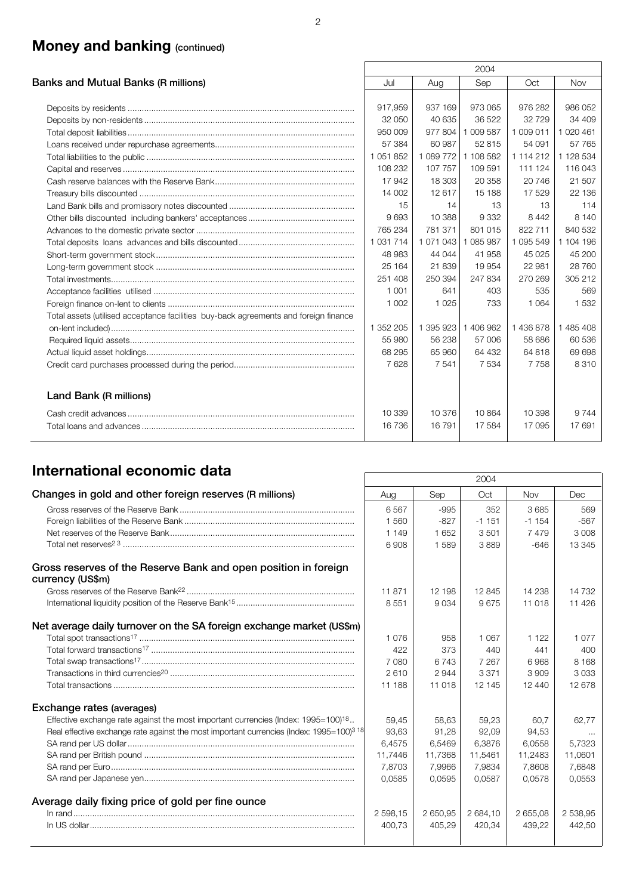## **Money and banking (continued)**

|                                                                                      |               |           | 2004      |           |           |
|--------------------------------------------------------------------------------------|---------------|-----------|-----------|-----------|-----------|
| Banks and Mutual Banks (R millions)                                                  | Jul           | Aug       | Sep       | Oct       | Nov       |
|                                                                                      |               |           |           |           |           |
|                                                                                      | 917,959       | 937 169   | 973 065   | 976 282   | 986 052   |
|                                                                                      | 32 050        | 40 635    | 36 522    | 32 7 29   | 34 409    |
|                                                                                      | 950 009       | 977804    | 1 009 587 | 1 009 011 | 1 020 461 |
|                                                                                      | 57 384        | 60 987    | 52 815    | 54 091    | 57 765    |
|                                                                                      | 1 051 852     | 1 089 772 | 1 108 582 | 1 114 212 | 1 128 534 |
|                                                                                      | 108 232       | 107 757   | 109 591   | 111 124   | 116 043   |
|                                                                                      | 17942         | 18 303    | 20 358    | 20 746    | 21 507    |
|                                                                                      | 14 002        | 12617     | 15 188    | 17 529    | 22 136    |
|                                                                                      | 15            | 14        | 13        | 13        | 114       |
|                                                                                      | 9693          | 10 388    | 9 3 3 2   | 8 4 4 2   | 8 1 4 0   |
|                                                                                      | 765 234       | 781 371   | 801 015   | 822 711   | 840 532   |
|                                                                                      | 1 0 3 1 7 1 4 | 1 071 043 | 1 085 987 | 1 095 549 | 1 104 196 |
|                                                                                      | 48 983        | 44 044    | 41 958    | 45 0 25   | 45 200    |
|                                                                                      | 25 1 64       | 21839     | 19 954    | 22 981    | 28 760    |
|                                                                                      | 251 408       | 250 394   | 247 834   | 270 269   | 305 212   |
|                                                                                      | 1 0 0 1       | 641       | 403       | 535       | 569       |
|                                                                                      | 1 0 0 2       | 1 0 2 5   | 733       | 1 0 6 4   | 1532      |
| Total assets (utilised acceptance facilities buy-back agreements and foreign finance |               |           |           |           |           |
|                                                                                      | 1 352 205     | 1 395 923 | 1 406 962 | 1436878   | 1 485 408 |
|                                                                                      | 55 980        | 56 238    | 57 006    | 58 686    | 60 536    |
|                                                                                      | 68 295        | 65 960    | 64 432    | 64 818    | 69 698    |
|                                                                                      | 7628          | 7 5 4 1   | 7 5 3 4   | 7758      | 8310      |
| Land Bank (R millions)                                                               |               |           |           |           |           |
|                                                                                      | 10 339        | 10 376    | 10864     | 10 398    | 9 7 4 4   |
|                                                                                      | 16736         | 16791     | 17 584    | 17 095    | 17691     |
|                                                                                      |               |           |           |           |           |

## **International economic data** 2004

| Changes in gold and other foreign reserves (R millions)<br>Sep<br>Oct<br><b>Dec</b><br>Aug<br><b>Nov</b><br>6567<br>352<br>3685<br>$-995$<br>569<br>$-567$<br>1560<br>$-827$<br>$-1151$<br>$-1$ 154<br>3 0 0 8<br>1 1 4 9<br>3501<br>7479<br>1652<br>13 3 45<br>6908<br>1589<br>3889<br>$-646$<br>Gross reserves of the Reserve Bank and open position in foreign<br>currency (US\$m)<br>14 238<br>11871<br>12 198<br>12 845<br>9675<br>8551<br>9034<br>11 018<br>Net average daily turnover on the SA foreign exchange market (US\$m)<br>1076<br>1 0 6 7<br>1 0 7 7<br>958<br>1 1 2 2<br>373<br>422<br>440<br>400<br>441<br>7 080<br>8 1 6 8<br>6743<br>7 2 6 7<br>6968<br>2610<br>3033<br>2944<br>3 3 7 1<br>3 909<br>11 188<br>11 018<br>12 145<br>12678<br>12 440<br>Exchange rates (averages)<br>Effective exchange rate against the most important currencies (Index: 1995=100) <sup>18</sup><br>59,45<br>58.63<br>59,23<br>60.7<br>62.77<br>Real effective exchange rate against the most important currencies (Index: 1995=100) <sup>3</sup> <sup>18</sup><br>93,63<br>91,28<br>92,09<br>94,53<br>$\cdots$<br>6.3876<br>6,4575<br>6,5469<br>6.0558<br>5.7323<br>11,5461<br>11,0601<br>11,7446<br>11,7368<br>11,2483<br>7,8703<br>7,9834<br>7,8608<br>7,6848<br>7,9966<br>0,0585<br>0.0587<br>0,0553<br>0.0595<br>0.0578<br>Average daily fixing price of gold per fine ounce<br>2 684,10<br>2 538.95<br>2 598,15<br>2 650.95<br>2 655.08<br>439,22<br>442,50<br>400,73<br>405,29<br>420,34 |  | ZUU4 |         |
|----------------------------------------------------------------------------------------------------------------------------------------------------------------------------------------------------------------------------------------------------------------------------------------------------------------------------------------------------------------------------------------------------------------------------------------------------------------------------------------------------------------------------------------------------------------------------------------------------------------------------------------------------------------------------------------------------------------------------------------------------------------------------------------------------------------------------------------------------------------------------------------------------------------------------------------------------------------------------------------------------------------------------------------------------------------------------------------------------------------------------------------------------------------------------------------------------------------------------------------------------------------------------------------------------------------------------------------------------------------------------------------------------------------------------------------------------------------------------------------------------|--|------|---------|
|                                                                                                                                                                                                                                                                                                                                                                                                                                                                                                                                                                                                                                                                                                                                                                                                                                                                                                                                                                                                                                                                                                                                                                                                                                                                                                                                                                                                                                                                                                    |  |      |         |
|                                                                                                                                                                                                                                                                                                                                                                                                                                                                                                                                                                                                                                                                                                                                                                                                                                                                                                                                                                                                                                                                                                                                                                                                                                                                                                                                                                                                                                                                                                    |  |      |         |
|                                                                                                                                                                                                                                                                                                                                                                                                                                                                                                                                                                                                                                                                                                                                                                                                                                                                                                                                                                                                                                                                                                                                                                                                                                                                                                                                                                                                                                                                                                    |  |      |         |
|                                                                                                                                                                                                                                                                                                                                                                                                                                                                                                                                                                                                                                                                                                                                                                                                                                                                                                                                                                                                                                                                                                                                                                                                                                                                                                                                                                                                                                                                                                    |  |      |         |
|                                                                                                                                                                                                                                                                                                                                                                                                                                                                                                                                                                                                                                                                                                                                                                                                                                                                                                                                                                                                                                                                                                                                                                                                                                                                                                                                                                                                                                                                                                    |  |      |         |
|                                                                                                                                                                                                                                                                                                                                                                                                                                                                                                                                                                                                                                                                                                                                                                                                                                                                                                                                                                                                                                                                                                                                                                                                                                                                                                                                                                                                                                                                                                    |  |      |         |
|                                                                                                                                                                                                                                                                                                                                                                                                                                                                                                                                                                                                                                                                                                                                                                                                                                                                                                                                                                                                                                                                                                                                                                                                                                                                                                                                                                                                                                                                                                    |  |      | 14 7 32 |
|                                                                                                                                                                                                                                                                                                                                                                                                                                                                                                                                                                                                                                                                                                                                                                                                                                                                                                                                                                                                                                                                                                                                                                                                                                                                                                                                                                                                                                                                                                    |  |      | 11 4 26 |
|                                                                                                                                                                                                                                                                                                                                                                                                                                                                                                                                                                                                                                                                                                                                                                                                                                                                                                                                                                                                                                                                                                                                                                                                                                                                                                                                                                                                                                                                                                    |  |      |         |
|                                                                                                                                                                                                                                                                                                                                                                                                                                                                                                                                                                                                                                                                                                                                                                                                                                                                                                                                                                                                                                                                                                                                                                                                                                                                                                                                                                                                                                                                                                    |  |      |         |
|                                                                                                                                                                                                                                                                                                                                                                                                                                                                                                                                                                                                                                                                                                                                                                                                                                                                                                                                                                                                                                                                                                                                                                                                                                                                                                                                                                                                                                                                                                    |  |      |         |
|                                                                                                                                                                                                                                                                                                                                                                                                                                                                                                                                                                                                                                                                                                                                                                                                                                                                                                                                                                                                                                                                                                                                                                                                                                                                                                                                                                                                                                                                                                    |  |      |         |
|                                                                                                                                                                                                                                                                                                                                                                                                                                                                                                                                                                                                                                                                                                                                                                                                                                                                                                                                                                                                                                                                                                                                                                                                                                                                                                                                                                                                                                                                                                    |  |      |         |
|                                                                                                                                                                                                                                                                                                                                                                                                                                                                                                                                                                                                                                                                                                                                                                                                                                                                                                                                                                                                                                                                                                                                                                                                                                                                                                                                                                                                                                                                                                    |  |      |         |
|                                                                                                                                                                                                                                                                                                                                                                                                                                                                                                                                                                                                                                                                                                                                                                                                                                                                                                                                                                                                                                                                                                                                                                                                                                                                                                                                                                                                                                                                                                    |  |      |         |
|                                                                                                                                                                                                                                                                                                                                                                                                                                                                                                                                                                                                                                                                                                                                                                                                                                                                                                                                                                                                                                                                                                                                                                                                                                                                                                                                                                                                                                                                                                    |  |      |         |
|                                                                                                                                                                                                                                                                                                                                                                                                                                                                                                                                                                                                                                                                                                                                                                                                                                                                                                                                                                                                                                                                                                                                                                                                                                                                                                                                                                                                                                                                                                    |  |      |         |
|                                                                                                                                                                                                                                                                                                                                                                                                                                                                                                                                                                                                                                                                                                                                                                                                                                                                                                                                                                                                                                                                                                                                                                                                                                                                                                                                                                                                                                                                                                    |  |      |         |
|                                                                                                                                                                                                                                                                                                                                                                                                                                                                                                                                                                                                                                                                                                                                                                                                                                                                                                                                                                                                                                                                                                                                                                                                                                                                                                                                                                                                                                                                                                    |  |      |         |
|                                                                                                                                                                                                                                                                                                                                                                                                                                                                                                                                                                                                                                                                                                                                                                                                                                                                                                                                                                                                                                                                                                                                                                                                                                                                                                                                                                                                                                                                                                    |  |      |         |
|                                                                                                                                                                                                                                                                                                                                                                                                                                                                                                                                                                                                                                                                                                                                                                                                                                                                                                                                                                                                                                                                                                                                                                                                                                                                                                                                                                                                                                                                                                    |  |      |         |
|                                                                                                                                                                                                                                                                                                                                                                                                                                                                                                                                                                                                                                                                                                                                                                                                                                                                                                                                                                                                                                                                                                                                                                                                                                                                                                                                                                                                                                                                                                    |  |      |         |
|                                                                                                                                                                                                                                                                                                                                                                                                                                                                                                                                                                                                                                                                                                                                                                                                                                                                                                                                                                                                                                                                                                                                                                                                                                                                                                                                                                                                                                                                                                    |  |      |         |
|                                                                                                                                                                                                                                                                                                                                                                                                                                                                                                                                                                                                                                                                                                                                                                                                                                                                                                                                                                                                                                                                                                                                                                                                                                                                                                                                                                                                                                                                                                    |  |      |         |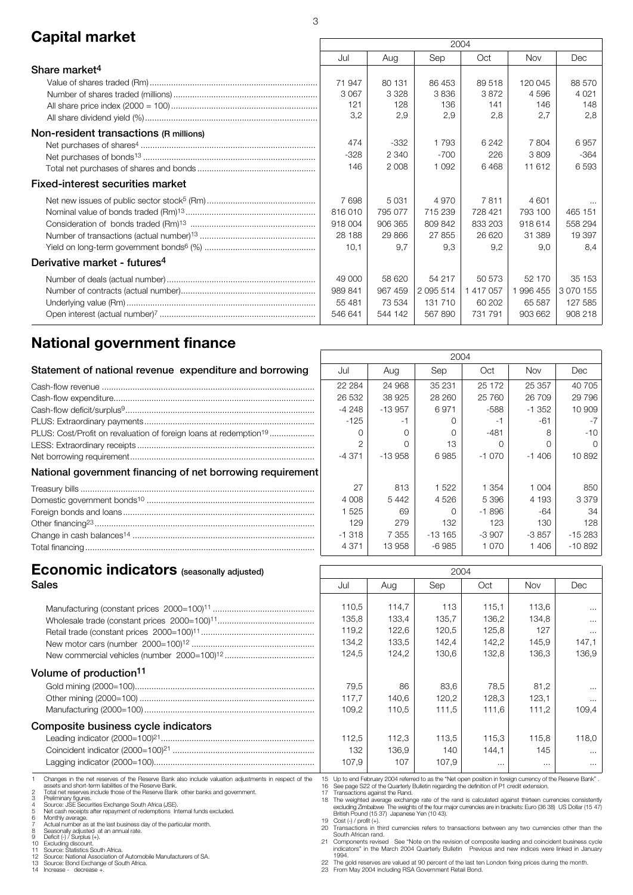### **Capital market** 2004

|                                          | LUU+    |         |               |           |            |           |
|------------------------------------------|---------|---------|---------------|-----------|------------|-----------|
|                                          | Jul     | Aug     | Sep           | Oct       | <b>Nov</b> | Dec       |
| Share market <sup>4</sup>                |         |         |               |           |            |           |
|                                          | 71 947  | 80 131  | 86 453        | 89 518    | 120 045    | 88 570    |
|                                          | 3 0 6 7 | 3 3 2 8 | 3836          | 3872      | 4596       | 4 0 2 1   |
|                                          | 121     | 128     | 136           | 141       | 146        | 148       |
|                                          | 3,2     | 2,9     | 2,9           | 2,8       | 2,7        | 2,8       |
| Non-resident transactions (R millions)   |         |         |               |           |            |           |
|                                          | 474     | $-332$  | 1793          | 6 2 4 2   | 7804       | 6957      |
|                                          | $-328$  | 2 3 4 0 | $-700$        | 226       | 3809       | $-364$    |
|                                          | 146     | 2 0 0 8 | 1 0 9 2       | 6468      | 11 612     | 6593      |
| <b>Fixed-interest securities market</b>  |         |         |               |           |            |           |
|                                          | 7698    | 5 0 3 1 | 4 9 7 0       | 7811      | 4 601      |           |
|                                          | 816010  | 795 077 | 715 239       | 728 421   | 793 100    | 465 151   |
|                                          | 918 004 | 906 365 | 809 842       | 833 203   | 918 614    | 558 294   |
|                                          | 28 188  | 29866   | 27 855        | 26 620    | 31 389     | 19 397    |
|                                          | 10,1    | 9,7     | 9,3           | 9,2       | 9,0        | 8,4       |
| Derivative market - futures <sup>4</sup> |         |         |               |           |            |           |
|                                          | 49 000  | 58 620  | 54 217        | 50 573    | 52 170     | 35 153    |
|                                          | 989 841 | 967 459 | 2 0 9 5 5 1 4 | 1 417 057 | 996 455    | 3 070 155 |
|                                          | 55 481  | 73 534  | 131 710       | 60 202    | 65 587     | 127 585   |
|                                          | 546 641 | 544 142 | 567890        | 731 791   | 903 662    | 908 218   |
|                                          |         |         |               |           |            |           |

### **National government finance**

| Statement of national revenue expenditure and borrowing                       | Jul      | Aug       | Sep       | Oct      | <b>Nov</b> | Dec             |
|-------------------------------------------------------------------------------|----------|-----------|-----------|----------|------------|-----------------|
|                                                                               | 22 2 84  | 24 968    | 35 231    | 25 172   | 25 357     | 407             |
|                                                                               | 26 532   | 38 925    | 28 260    | 25 760   | 26 709     | 297             |
|                                                                               | -4 248   | $-13.957$ | 6971      | -588     | $-1.352$   | 10 <sup>5</sup> |
|                                                                               | $-125$   |           |           |          | -61        |                 |
| PLUS: Cost/Profit on revaluation of foreign loans at redemption <sup>19</sup> |          |           |           | -481     |            |                 |
|                                                                               | 2        |           | 13        |          |            |                 |
|                                                                               | $-4.371$ | $-13958$  | 6985      | $-1070$  | $-1406$    | 10 <sub>8</sub> |
| National government financing of net borrowing requirement                    |          |           |           |          |            |                 |
|                                                                               | 27       | 813       | 1 522     | 1 3 5 4  | 1 004      |                 |
|                                                                               | 4 0 0 8  | 5442      | 4 5 2 6   | 5396     | 4 193      | 3 <sup>°</sup>  |
|                                                                               | 525      | 69        |           | $-1.896$ | -64        |                 |
|                                                                               | 129      | 279       | 132       | 123      | 130        |                 |
|                                                                               | $-1.318$ | 7 3 5 5   | $-13,165$ | $-3.907$ | $-3.857$   | $-152$          |
|                                                                               | 4 3 7 1  | 13958     | -6 985    | 1 0 7 0  | 1406       | $-108$          |

| 2004          |          |          |         |          |           |  |  |  |
|---------------|----------|----------|---------|----------|-----------|--|--|--|
| Jul           | Aug      | Sep      | Oct     | Nov      | Dec       |  |  |  |
| 22 2 84       | 24 968   | 35 231   | 25 172  | 25 357   | 40 705    |  |  |  |
| 26 532        | 38 925   | 28 260   | 25 760  | 26 709   | 29 7 9 6  |  |  |  |
| $-4248$       | $-13957$ | 6971     | -588    | $-1.352$ | 10 909    |  |  |  |
| $-125$        | -1       | Ω        | $-1$    | -61      | -7        |  |  |  |
| O             | O        | Ω        | $-481$  | 8        | $-10$     |  |  |  |
| $\mathcal{P}$ | ∩        | 13       | Ω       | O        | ∩         |  |  |  |
| $-4.371$      | $-13958$ | 6985     | $-1070$ | $-1406$  | 10892     |  |  |  |
|               |          |          |         |          |           |  |  |  |
| 27            | 813      | 1522     | 1 354   | 1 0 0 4  | 850       |  |  |  |
| 4 0 0 8       | 5442     | 4526     | 5 3 9 6 | 4 193    | 3 3 7 9   |  |  |  |
| 1525          | 69       | ∩        | $-1896$ | -64      | 34        |  |  |  |
| 129           | 279      | 132      | 123     | 130      | 128       |  |  |  |
| $-1318$       | 7 3 5 5  | $-13165$ | $-3907$ | $-3857$  | $-15283$  |  |  |  |
| 4 3 7 1       | 13958    | $-6985$  | 1 0 7 0 | 1406     | $-10.892$ |  |  |  |

# **Economic indicators** (seasonally adjusted) **CONS** 2004

| Sales                                                                                                                                                                                                                                                                                                                                                                                                                                                                                                                                                                                                                                                                                                                                                                                          | Jul                                                                                            | Aug                                                                                                                                                                                                                                                                                                                                                                                                                                                                                                                                                                                                                                                                                                                                                                                                                                                                                                                                                                    | Sep                                     | Oct                                       | Nov                                     | Dec                                                |
|------------------------------------------------------------------------------------------------------------------------------------------------------------------------------------------------------------------------------------------------------------------------------------------------------------------------------------------------------------------------------------------------------------------------------------------------------------------------------------------------------------------------------------------------------------------------------------------------------------------------------------------------------------------------------------------------------------------------------------------------------------------------------------------------|------------------------------------------------------------------------------------------------|------------------------------------------------------------------------------------------------------------------------------------------------------------------------------------------------------------------------------------------------------------------------------------------------------------------------------------------------------------------------------------------------------------------------------------------------------------------------------------------------------------------------------------------------------------------------------------------------------------------------------------------------------------------------------------------------------------------------------------------------------------------------------------------------------------------------------------------------------------------------------------------------------------------------------------------------------------------------|-----------------------------------------|-------------------------------------------|-----------------------------------------|----------------------------------------------------|
|                                                                                                                                                                                                                                                                                                                                                                                                                                                                                                                                                                                                                                                                                                                                                                                                | 110,5<br>135,8<br>119,2<br>134,2<br>124,5                                                      | 114.7<br>133,4<br>122,6<br>133,5<br>124,2                                                                                                                                                                                                                                                                                                                                                                                                                                                                                                                                                                                                                                                                                                                                                                                                                                                                                                                              | 113<br>135.7<br>120,5<br>142,4<br>130,6 | 115.1<br>136,2<br>125,8<br>142,2<br>132,8 | 113.6<br>134.8<br>127<br>145.9<br>136.3 | $\cdots$<br>$\cdots$<br>$\cdots$<br>147,1<br>136.9 |
| Volume of production <sup>11</sup>                                                                                                                                                                                                                                                                                                                                                                                                                                                                                                                                                                                                                                                                                                                                                             | 79,5                                                                                           | 86                                                                                                                                                                                                                                                                                                                                                                                                                                                                                                                                                                                                                                                                                                                                                                                                                                                                                                                                                                     | 83.6                                    | 78.5                                      | 81.2                                    |                                                    |
|                                                                                                                                                                                                                                                                                                                                                                                                                                                                                                                                                                                                                                                                                                                                                                                                | 117,7<br>109,2                                                                                 | 140,6<br>110,5                                                                                                                                                                                                                                                                                                                                                                                                                                                                                                                                                                                                                                                                                                                                                                                                                                                                                                                                                         | 120,2<br>111.5                          | 128,3<br>111.6                            | 123,1<br>111.2                          | $\cdots$<br>$\cdots$<br>109.4                      |
| Composite business cycle indicators                                                                                                                                                                                                                                                                                                                                                                                                                                                                                                                                                                                                                                                                                                                                                            |                                                                                                |                                                                                                                                                                                                                                                                                                                                                                                                                                                                                                                                                                                                                                                                                                                                                                                                                                                                                                                                                                        |                                         |                                           |                                         |                                                    |
|                                                                                                                                                                                                                                                                                                                                                                                                                                                                                                                                                                                                                                                                                                                                                                                                | 112,5<br>132<br>107.9                                                                          | 112,3<br>136,9<br>107                                                                                                                                                                                                                                                                                                                                                                                                                                                                                                                                                                                                                                                                                                                                                                                                                                                                                                                                                  | 113,5<br>140<br>107.9                   | 115,3<br>144.1<br>$\cdots$                | 115,8<br>145<br>$\cdots$                | 118,0<br>$\cdots$<br>$\cdots$                      |
| Changes in the net reserves of the Reserve Bank also include valuation adjustments in respect of the<br>assets and short-term liabilities of the Reserve Bank.<br>Total net reserves include those of the Reserve Bank other banks and government.<br>Preliminary figures.<br>Source: JSE Securities Exchange South Africa (JSE).<br>Net cash receipts after repayment of redemptions Internal funds excluded.<br>Monthly average.<br>Actual number as at the last business day of the particular month.<br>Seasonally adjusted at an annual rate.<br>Deficit (-) / Surplus (+).<br>10 Excluding discount.<br>Source: Statistics South Africa.<br>12 Source: National Association of Automobile Manufacturers of SA.<br>13 Source: Bond Exchange of South Africa.<br>14 Increase - decrease +. | 17 Transactions against the Rand.<br>19 Cost (-) / profit (+).<br>South African rand.<br>1994. | 15 Up to end February 2004 referred to as the "Net open position in foreign currency of the Reserve Bank".<br>16 See page S22 of the Quarterly Bulletin regarding the definition of P1 credit extension.<br>18 The weighted average exchange rate of the rand is calculated against thirteen currencies consistently<br>excluding Zimbabwe The weights of the four major currencies are in brackets: Euro (36 38) US Dollar (15 47<br>British Pound (15 37) Japanese Yen (10 43).<br>20 Transactions in third currencies refers to transactions between any two currencies other than the<br>21 Components revised See "Note on the revision of composite leading and coincident business cycle<br>indicators" in the March 2004 Quarterly Bulletin  Previous and new indices were linked in January<br>22 The gold reserves are valued at 90 percent of the last ten London fixing prices during the month.<br>23 From May 2004 including RSA Government Retail Bond. |                                         |                                           |                                         |                                                    |